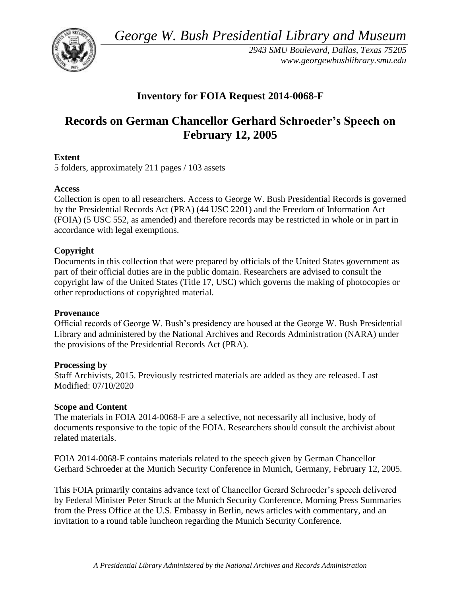*George W. Bush Presidential Library and Museum* 



*2943 SMU Boulevard, Dallas, Texas 75205 <www.georgewbushlibrary.smu.edu>*

## **Inventory for FOIA Request 2014-0068-F**

# **Records on German Chancellor Gerhard Schroeder's Speech on February 12, 2005**

## **Extent**

5 folders, approximately 211 pages / 103 assets

## **Access**

Collection is open to all researchers. Access to George W. Bush Presidential Records is governed by the Presidential Records Act (PRA) (44 USC 2201) and the Freedom of Information Act (FOIA) (5 USC 552, as amended) and therefore records may be restricted in whole or in part in accordance with legal exemptions.

## **Copyright**

Documents in this collection that were prepared by officials of the United States government as part of their official duties are in the public domain. Researchers are advised to consult the copyright law of the United States (Title 17, USC) which governs the making of photocopies or other reproductions of copyrighted material.

## **Provenance**

 Official records of George W. Bush's presidency are housed at the George W. Bush Presidential Library and administered by the National Archives and Records Administration (NARA) under the provisions of the Presidential Records Act (PRA).

## **Processing by**

Staff Archivists, 2015. Previously restricted materials are added as they are released. Last Modified: 07/10/2020

## **Scope and Content**

 The materials in FOIA 2014-0068-F are a selective, not necessarily all inclusive, body of documents responsive to the topic of the FOIA. Researchers should consult the archivist about related materials.

FOIA 2014-0068-F contains materials related to the speech given by German Chancellor Gerhard Schroeder at the Munich Security Conference in Munich, Germany, February 12, 2005.

This FOIA primarily contains advance text of Chancellor Gerard Schroeder's speech delivered by Federal Minister Peter Struck at the Munich Security Conference, Morning Press Summaries from the Press Office at the U.S. Embassy in Berlin, news articles with commentary, and an invitation to a round table luncheon regarding the Munich Security Conference.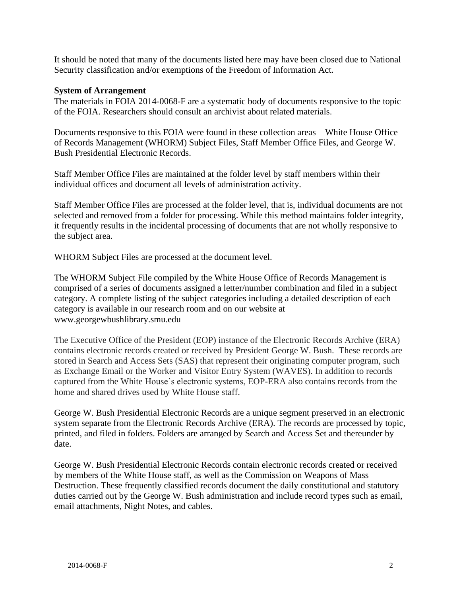It should be noted that many of the documents listed here may have been closed due to National Security classification and/or exemptions of the Freedom of Information Act.

#### **System of Arrangement**

 The materials in FOIA 2014-0068-F are a systematic body of documents responsive to the topic of the FOIA. Researchers should consult an archivist about related materials.

Documents responsive to this FOIA were found in these collection areas – White House Office of Records Management (WHORM) Subject Files, Staff Member Office Files, and George W. Bush Presidential Electronic Records.

Staff Member Office Files are maintained at the folder level by staff members within their individual offices and document all levels of administration activity.

Staff Member Office Files are processed at the folder level, that is, individual documents are not selected and removed from a folder for processing. While this method maintains folder integrity, it frequently results in the incidental processing of documents that are not wholly responsive to the subject area.

WHORM Subject Files are processed at the document level.

The WHORM Subject File compiled by the White House Office of Records Management is comprised of a series of documents assigned a letter/number combination and filed in a subject category. A complete listing of the subject categories including a detailed description of each category is available in our research room and on our website at <www.georgewbushlibrary.smu.edu>

The Executive Office of the President (EOP) instance of the Electronic Records Archive (ERA) contains electronic records created or received by President George W. Bush. These records are stored in Search and Access Sets (SAS) that represent their originating computer program, such as Exchange Email or the Worker and Visitor Entry System (WAVES). In addition to records captured from the White House's electronic systems, EOP-ERA also contains records from the home and shared drives used by White House staff.

George W. Bush Presidential Electronic Records are a unique segment preserved in an electronic system separate from the Electronic Records Archive (ERA). The records are processed by topic, printed, and filed in folders. Folders are arranged by Search and Access Set and thereunder by date.

George W. Bush Presidential Electronic Records contain electronic records created or received by members of the White House staff, as well as the Commission on Weapons of Mass Destruction. These frequently classified records document the daily constitutional and statutory duties carried out by the George W. Bush administration and include record types such as email, email attachments, Night Notes, and cables.